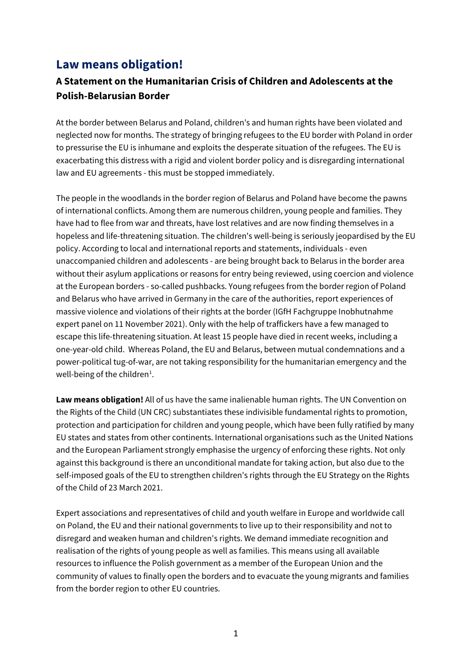# **Law means obligation!**

## **A Statement on the Humanitarian Crisis of Children and Adolescents at the Polish-Belarusian Border**

At the border between Belarus and Poland, children's and human rights have been violated and neglected now for months. The strategy of bringing refugees to the EU border with Poland in order to pressurise the EU is inhumane and exploits the desperate situation of the refugees. The EU is exacerbating this distress with a rigid and violent border policy and is disregarding international law and EU agreements - this must be stopped immediately.

The people in the woodlands in the border region of Belarus and Poland have become the pawns of international conflicts. Among them are numerous children, young people and families. They have had to flee from war and threats, have lost relatives and are now finding themselves in a hopeless and life-threatening situation. The children's well-being is seriously jeopardised by the EU policy. According to local and international reports and statements, individuals - even unaccompanied children and adolescents - are being brought back to Belarus in the border area without their asylum applications or reasons for entry being reviewed, using coercion and violence at the European borders - so-called pushbacks. Young refugees from the border region of Poland and Belarus who have arrived in Germany in the care of the authorities, report experiences of massive violence and violations of their rights at the border (IGfH Fachgruppe Inobhutnahme expert panel on 11 November 2021). Only with the help of traffickers have a few managed to escape this life-threatening situation. At least 15 people have died in recent weeks, including a one-year-old child. Whereas Poland, the EU and Belarus, between mutual condemnations and a power-political tug-of-war, are not taking responsibility for the humanitarian emergency and the well-being of the children $^1$  $^1$ .

**Law means obligation!** All of us have the same inalienable human rights. The UN Convention on the Rights of the Child (UN CRC) substantiates these indivisible fundamental rights to promotion, protection and participation for children and young people, which have been fully ratified by many EU states and states from other continents. International organisations such as the United Nations and the European Parliament strongly emphasise the urgency of enforcing these rights. Not only against this background is there an unconditional mandate for taking action, but also due to the self-imposed goals of the EU to strengthen children's rights through the EU Strategy on the Rights of the Child of 23 March 2021.

Expert associations and representatives of child and youth welfare in Europe and worldwide call on Poland, the EU and their national governments to live up to their responsibility and not to disregard and weaken human and children's rights. We demand immediate recognition and realisation of the rights of young people as well as families. This means using all available resources to influence the Polish government as a member of the European Union and the community of values to finally open the borders and to evacuate the young migrants and families from the border region to other EU countries.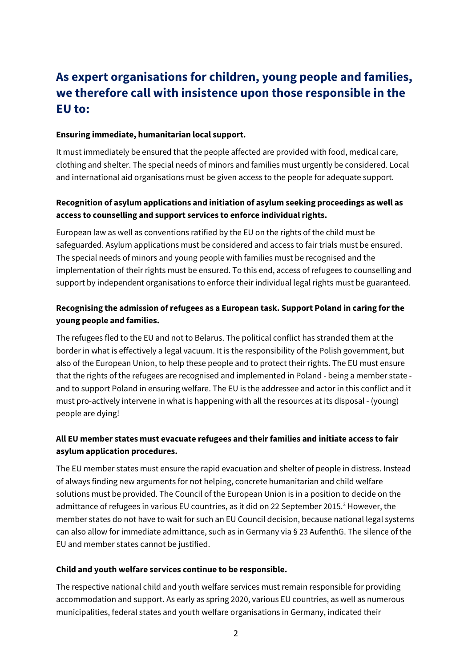# **As expert organisations for children, young people and families, we therefore call with insistence upon those responsible in the EU to:**

#### **Ensuring immediate, humanitarian local support.**

It must immediately be ensured that the people affected are provided with food, medical care, clothing and shelter. The special needs of minors and families must urgently be considered. Local and international aid organisations must be given access to the people for adequate support.

### **Recognition of asylum applications and initiation of asylum seeking proceedings as well as access to counselling and support services to enforce individual rights.**

European law as well as conventions ratified by the EU on the rights of the child must be safeguarded. Asylum applications must be considered and access to fair trials must be ensured. The special needs of minors and young people with families must be recognised and the implementation of their rights must be ensured. To this end, access of refugees to counselling and support by independent organisations to enforce their individual legal rights must be guaranteed.

### **Recognising the admission of refugees as a European task. Support Poland in caring for the young people and families.**

The refugees fled to the EU and not to Belarus. The political conflict has stranded them at the border in what is effectively a legal vacuum. It is the responsibility of the Polish government, but also of the European Union, to help these people and to protect their rights. The EU must ensure that the rights of the refugees are recognised and implemented in Poland - being a member state and to support Poland in ensuring welfare. The EU is the addressee and actor in this conflict and it must pro-actively intervene in what is happening with all the resources at its disposal - (young) people are dying!

#### **All EU member states must evacuate refugees and their families and initiate access to fair asylum application procedures.**

The EU member states must ensure the rapid evacuation and shelter of people in distress. Instead of always finding new arguments for not helping, concrete humanitarian and child welfare solutions must be provided. The Council of the European Union is in a position to decide on the admittance of refugees in various EU countries, as it did on [2](#page-2-1)2 September 2015.<sup>2</sup> However, the member states do not have to wait for such an EU Council decision, because national legal systems can also allow for immediate admittance, such as in Germany via § 23 AufenthG. The silence of the EU and member states cannot be justified.

#### **Child and youth welfare services continue to be responsible.**

The respective national child and youth welfare services must remain responsible for providing accommodation and support. As early as spring 2020, various EU countries, as well as numerous municipalities, federal states and youth welfare organisations in Germany, indicated their